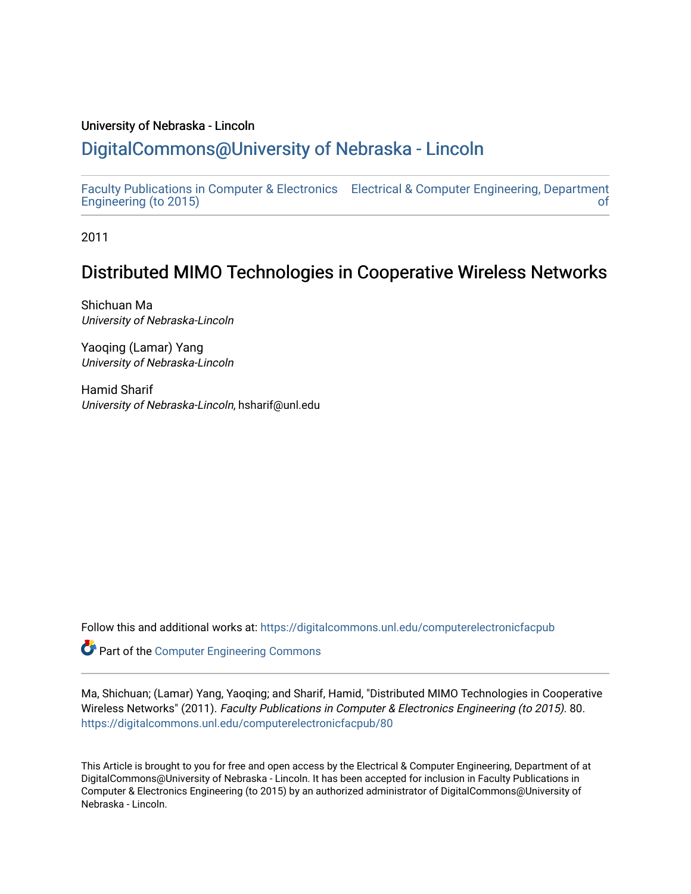# University of Nebraska - Lincoln

# [DigitalCommons@University of Nebraska - Lincoln](https://digitalcommons.unl.edu/)

[Faculty Publications in Computer & Electronics](https://digitalcommons.unl.edu/computerelectronicfacpub)  [Electrical & Computer Engineering, Department](https://digitalcommons.unl.edu/electricalengineering)  [Engineering \(to 2015\)](https://digitalcommons.unl.edu/computerelectronicfacpub)  [of](https://digitalcommons.unl.edu/electricalengineering) 

2011

# Distributed MIMO Technologies in Cooperative Wireless Networks

Shichuan Ma University of Nebraska-Lincoln

Yaoqing (Lamar) Yang University of Nebraska-Lincoln

Hamid Sharif University of Nebraska-Lincoln, hsharif@unl.edu

Follow this and additional works at: [https://digitalcommons.unl.edu/computerelectronicfacpub](https://digitalcommons.unl.edu/computerelectronicfacpub?utm_source=digitalcommons.unl.edu%2Fcomputerelectronicfacpub%2F80&utm_medium=PDF&utm_campaign=PDFCoverPages) 

Part of the [Computer Engineering Commons](http://network.bepress.com/hgg/discipline/258?utm_source=digitalcommons.unl.edu%2Fcomputerelectronicfacpub%2F80&utm_medium=PDF&utm_campaign=PDFCoverPages) 

Ma, Shichuan; (Lamar) Yang, Yaoqing; and Sharif, Hamid, "Distributed MIMO Technologies in Cooperative Wireless Networks" (2011). Faculty Publications in Computer & Electronics Engineering (to 2015). 80. [https://digitalcommons.unl.edu/computerelectronicfacpub/80](https://digitalcommons.unl.edu/computerelectronicfacpub/80?utm_source=digitalcommons.unl.edu%2Fcomputerelectronicfacpub%2F80&utm_medium=PDF&utm_campaign=PDFCoverPages)

This Article is brought to you for free and open access by the Electrical & Computer Engineering, Department of at DigitalCommons@University of Nebraska - Lincoln. It has been accepted for inclusion in Faculty Publications in Computer & Electronics Engineering (to 2015) by an authorized administrator of DigitalCommons@University of Nebraska - Lincoln.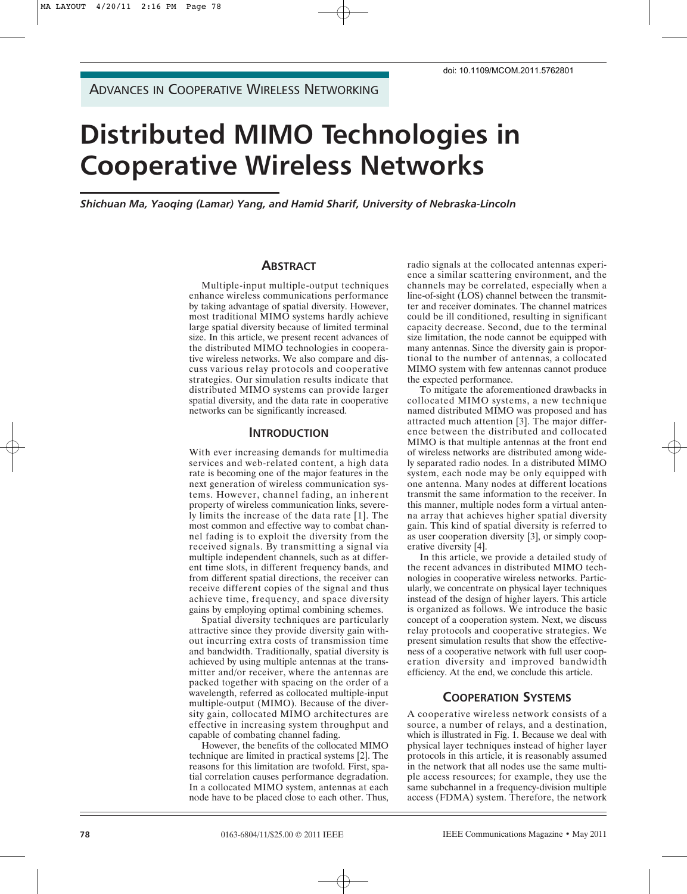# **Distributed MIMO Technologies in Cooperative Wireless Networks**

*Shichuan Ma, Yaoqing (Lamar) Yang, and Hamid Sharif, University of Nebraska-Lincoln*

# **ABSTRACT**

Multiple-input multiple-output techniques enhance wireless communications performance by taking advantage of spatial diversity. However, most traditional MIMO systems hardly achieve large spatial diversity because of limited terminal size. In this article, we present recent advances of the distributed MIMO technologies in cooperative wireless networks. We also compare and discuss various relay protocols and cooperative strategies. Our simulation results indicate that distributed MIMO systems can provide larger spatial diversity, and the data rate in cooperative networks can be significantly increased.

#### **INTRODUCTION**

With ever increasing demands for multimedia services and web-related content, a high data rate is becoming one of the major features in the next generation of wireless communication systems. However, channel fading, an inherent property of wireless communication links, severely limits the increase of the data rate [1]. The most common and effective way to combat channel fading is to exploit the diversity from the received signals. By transmitting a signal via multiple independent channels, such as at different time slots, in different frequency bands, and from different spatial directions, the receiver can receive different copies of the signal and thus achieve time, frequency, and space diversity gains by employing optimal combining schemes.

Spatial diversity techniques are particularly attractive since they provide diversity gain without incurring extra costs of transmission time and bandwidth. Traditionally, spatial diversity is achieved by using multiple antennas at the transmitter and/or receiver, where the antennas are packed together with spacing on the order of a wavelength, referred as collocated multiple-input multiple-output (MIMO). Because of the diversity gain, collocated MIMO architectures are effective in increasing system throughput and capable of combating channel fading.

However, the benefits of the collocated MIMO technique are limited in practical systems [2]. The reasons for this limitation are twofold. First, spatial correlation causes performance degradation. In a collocated MIMO system, antennas at each node have to be placed close to each other. Thus,

radio signals at the collocated antennas experience a similar scattering environment, and the channels may be correlated, especially when a line-of-sight (LOS) channel between the transmitter and receiver dominates. The channel matrices could be ill conditioned, resulting in significant capacity decrease. Second, due to the terminal size limitation, the node cannot be equipped with many antennas. Since the diversity gain is proportional to the number of antennas, a collocated MIMO system with few antennas cannot produce the expected performance.

To mitigate the aforementioned drawbacks in collocated MIMO systems, a new technique named distributed MIMO was proposed and has attracted much attention [3]. The major difference between the distributed and collocated MIMO is that multiple antennas at the front end of wireless networks are distributed among widely separated radio nodes. In a distributed MIMO system, each node may be only equipped with one antenna. Many nodes at different locations transmit the same information to the receiver. In this manner, multiple nodes form a virtual antenna array that achieves higher spatial diversity gain. This kind of spatial diversity is referred to as user cooperation diversity [3], or simply cooperative diversity [4].

In this article, we provide a detailed study of the recent advances in distributed MIMO technologies in cooperative wireless networks. Particularly, we concentrate on physical layer techniques instead of the design of higher layers. This article is organized as follows. We introduce the basic concept of a cooperation system. Next, we discuss relay protocols and cooperative strategies. We present simulation results that show the effectiveness of a cooperative network with full user cooperation diversity and improved bandwidth efficiency. At the end, we conclude this article.

## **COOPERATION SYSTEMS**

A cooperative wireless network consists of a source, a number of relays, and a destination, which is illustrated in Fig. 1. Because we deal with physical layer techniques instead of higher layer protocols in this article, it is reasonably assumed in the network that all nodes use the same multiple access resources; for example, they use the same subchannel in a frequency-division multiple access (FDMA) system. Therefore, the network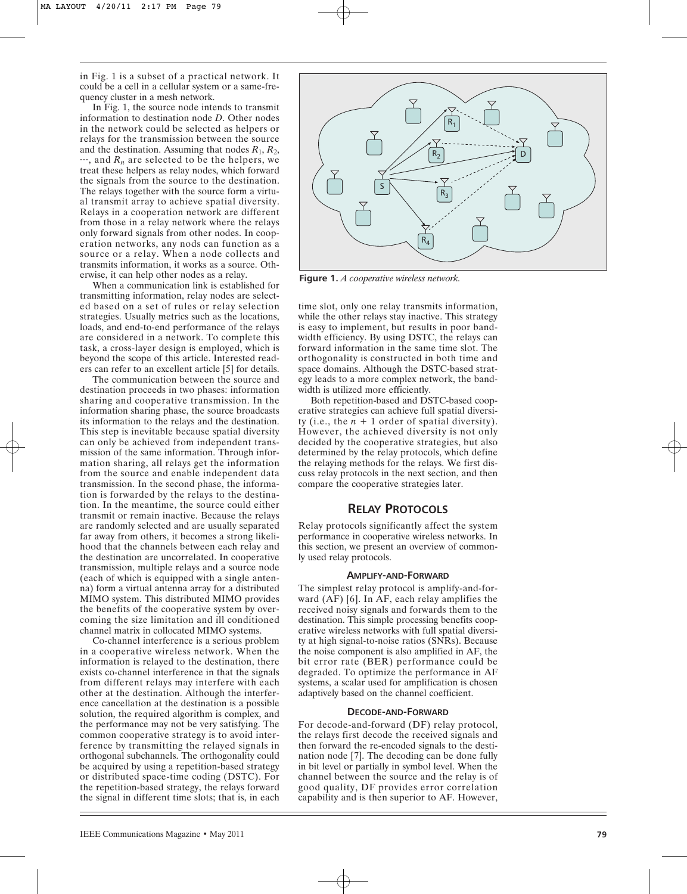in Fig. 1 is a subset of a practical network. It could be a cell in a cellular system or a same-frequency cluster in a mesh network.

In Fig. 1, the source node intends to transmit information to destination node *D*. Other nodes in the network could be selected as helpers or relays for the transmission between the source and the destination. Assuming that nodes  $R_1$ ,  $R_2$ ,  $\cdots$ , and  $R_n$  are selected to be the helpers, we treat these helpers as relay nodes, which forward the signals from the source to the destination. The relays together with the source form a virtual transmit array to achieve spatial diversity. Relays in a cooperation network are different from those in a relay network where the relays only forward signals from other nodes. In cooperation networks, any nods can function as a source or a relay. When a node collects and transmits information, it works as a source. Otherwise, it can help other nodes as a relay.

When a communication link is established for transmitting information, relay nodes are selected based on a set of rules or relay selection strategies. Usually metrics such as the locations, loads, and end-to-end performance of the relays are considered in a network. To complete this task, a cross-layer design is employed, which is beyond the scope of this article. Interested readers can refer to an excellent article [5] for details.

The communication between the source and destination proceeds in two phases: information sharing and cooperative transmission. In the information sharing phase, the source broadcasts its information to the relays and the destination. This step is inevitable because spatial diversity can only be achieved from independent transmission of the same information. Through information sharing, all relays get the information from the source and enable independent data transmission. In the second phase, the information is forwarded by the relays to the destination. In the meantime, the source could either transmit or remain inactive. Because the relays are randomly selected and are usually separated far away from others, it becomes a strong likelihood that the channels between each relay and the destination are uncorrelated. In cooperative transmission, multiple relays and a source node (each of which is equipped with a single antenna) form a virtual antenna array for a distributed MIMO system. This distributed MIMO provides the benefits of the cooperative system by overcoming the size limitation and ill conditioned channel matrix in collocated MIMO systems.

Co-channel interference is a serious problem in a cooperative wireless network. When the information is relayed to the destination, there exists co-channel interference in that the signals from different relays may interfere with each other at the destination. Although the interference cancellation at the destination is a possible solution, the required algorithm is complex, and the performance may not be very satisfying. The common cooperative strategy is to avoid interference by transmitting the relayed signals in orthogonal subchannels. The orthogonality could be acquired by using a repetition-based strategy or distributed space-time coding (DSTC). For the repetition-based strategy, the relays forward the signal in different time slots; that is, in each



**Figure 1.** *A cooperative wireless network.*

time slot, only one relay transmits information, while the other relays stay inactive. This strategy is easy to implement, but results in poor bandwidth efficiency. By using DSTC, the relays can forward information in the same time slot. The orthogonality is constructed in both time and space domains. Although the DSTC-based strategy leads to a more complex network, the bandwidth is utilized more efficiently.

Both repetition-based and DSTC-based cooperative strategies can achieve full spatial diversity (i.e., the  $n + 1$  order of spatial diversity). However, the achieved diversity is not only decided by the cooperative strategies, but also determined by the relay protocols, which define the relaying methods for the relays. We first discuss relay protocols in the next section, and then compare the cooperative strategies later.

# **RELAY PROTOCOLS**

Relay protocols significantly affect the system performance in cooperative wireless networks. In this section, we present an overview of commonly used relay protocols.

#### **AMPLIFY-AND-FORWARD**

The simplest relay protocol is amplify-and-forward (AF) [6]. In AF, each relay amplifies the received noisy signals and forwards them to the destination. This simple processing benefits cooperative wireless networks with full spatial diversity at high signal-to-noise ratios (SNRs). Because the noise component is also amplified in AF, the bit error rate (BER) performance could be degraded. To optimize the performance in AF systems, a scalar used for amplification is chosen adaptively based on the channel coefficient.

#### **DECODE-AND-FORWARD**

For decode-and-forward (DF) relay protocol, the relays first decode the received signals and then forward the re-encoded signals to the destination node [7]. The decoding can be done fully in bit level or partially in symbol level. When the channel between the source and the relay is of good quality, DF provides error correlation capability and is then superior to AF. However,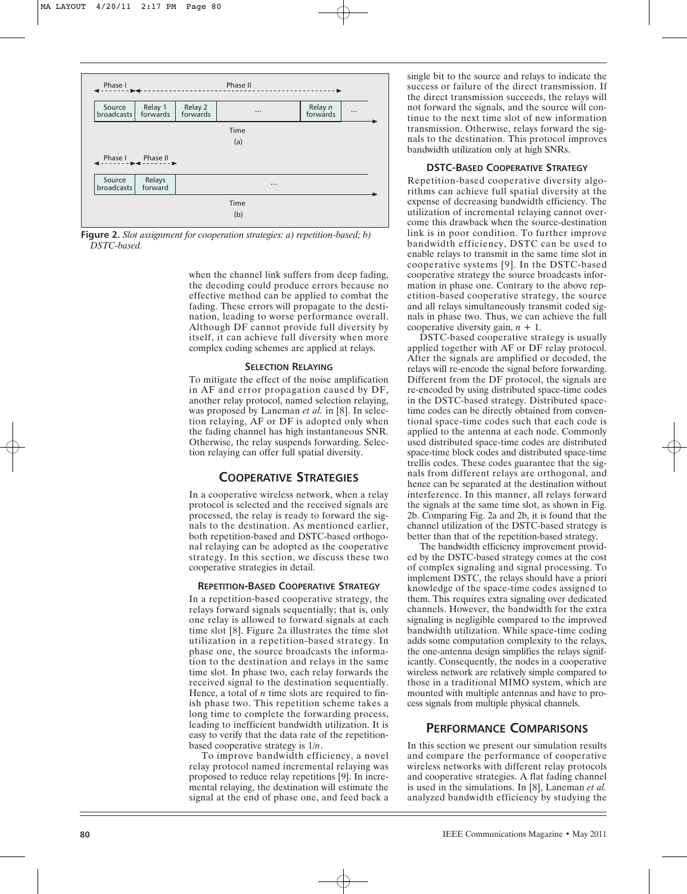

**Figure 2.** *Slot assignment for cooperation strategies: a) repetition-based; b) DSTC-based.*

when the channel link suffers from deep fading, the decoding could produce errors because no effective method can be applied to combat the fading. These errors will propagate to the destination, leading to worse performance overall. Although DF cannot provide full diversity by itself, it can achieve full diversity when more complex coding schemes are applied at relays.

#### **SELECTION RELAYING**

To mitigate the effect of the noise amplification in AF and error propagation caused by DF, another relay protocol, named selection relaying, was proposed by Laneman *et al.* in [8]. In selection relaying, AF or DF is adopted only when the fading channel has high instantaneous SNR. Otherwise, the relay suspends forwarding. Selection relaying can offer full spatial diversity.

## **COOPERATIVE STRATEGIES**

In a cooperative wireless network, when a relay protocol is selected and the received signals are processed, the relay is ready to forward the signals to the destination. As mentioned earlier, both repetition-based and DSTC-based orthogonal relaying can be adopted as the cooperative strategy. In this section, we discuss these two cooperative strategies in detail.

#### **REPETITION-BASED COOPERATIVE STRATEGY**

In a repetition-based cooperative strategy, the relays forward signals sequentially; that is, only one relay is allowed to forward signals at each time slot [8]. Figure 2a illustrates the time slot utilization in a repetition-based strategy. In phase one, the source broadcasts the information to the destination and relays in the same time slot. In phase two, each relay forwards the received signal to the destination sequentially. Hence, a total of *n* time slots are required to finish phase two. This repetition scheme takes a long time to complete the forwarding process, leading to inefficient bandwidth utilization. It is easy to verify that the data rate of the repetitionbased cooperative strategy is 1/*n*.

To improve bandwidth efficiency, a novel relay protocol named incremental relaying was proposed to reduce relay repetitions [9]. In incremental relaying, the destination will estimate the signal at the end of phase one, and feed back a single bit to the source and relays to indicate the success or failure of the direct transmission. If the direct transmission succeeds, the relays will not forward the signals, and the source will continue to the next time slot of new information transmission. Otherwise, relays forward the signals to the destination. This protocol improves bandwidth utilization only at high SNRs.

#### **DSTC-BASED COOPERATIVE STRATEGY**

Repetition-based cooperative diversity algorithms can achieve full spatial diversity at the expense of decreasing bandwidth efficiency. The utilization of incremental relaying cannot overcome this drawback when the source-destination link is in poor condition. To further improve bandwidth efficiency, DSTC can be used to enable relays to transmit in the same time slot in cooperative systems [9]. In the DSTC-based cooperative strategy the source broadcasts information in phase one. Contrary to the above repetition-based cooperative strategy, the source and all relays simultaneously transmit coded signals in phase two. Thus, we can achieve the full cooperative diversity gain, *n* + 1.

DSTC-based cooperative strategy is usually applied together with AF or DF relay protocol. After the signals are amplified or decoded, the relays will re-encode the signal before forwarding. Different from the DF protocol, the signals are re-encoded by using distributed space-time codes in the DSTC-based strategy. Distributed spacetime codes can be directly obtained from conventional space-time codes such that each code is applied to the antenna at each node. Commonly used distributed space-time codes are distributed space-time block codes and distributed space-time trellis codes. These codes guarantee that the signals from different relays are orthogonal, and hence can be separated at the destination without interference. In this manner, all relays forward the signals at the same time slot, as shown in Fig. 2b. Comparing Fig. 2a and 2b, it is found that the channel utilization of the DSTC-based strategy is better than that of the repetition-based strategy.

The bandwidth efficiency improvement provided by the DSTC-based strategy comes at the cost of complex signaling and signal processing. To implement DSTC, the relays should have a priori knowledge of the space-time codes assigned to them. This requires extra signaling over dedicated channels. However, the bandwidth for the extra signaling is negligible compared to the improved bandwidth utilization. While space-time coding adds some computation complexity to the relays, the one-antenna design simplifies the relays significantly. Consequently, the nodes in a cooperative wireless network are relatively simple compared to those in a traditional MIMO system, which are mounted with multiple antennas and have to process signals from multiple physical channels.

## **PERFORMANCE COMPARISONS**

In this section we present our simulation results and compare the performance of cooperative wireless networks with different relay protocols and cooperative strategies. A flat fading channel is used in the simulations. In [8], Laneman *et al.* analyzed bandwidth efficiency by studying the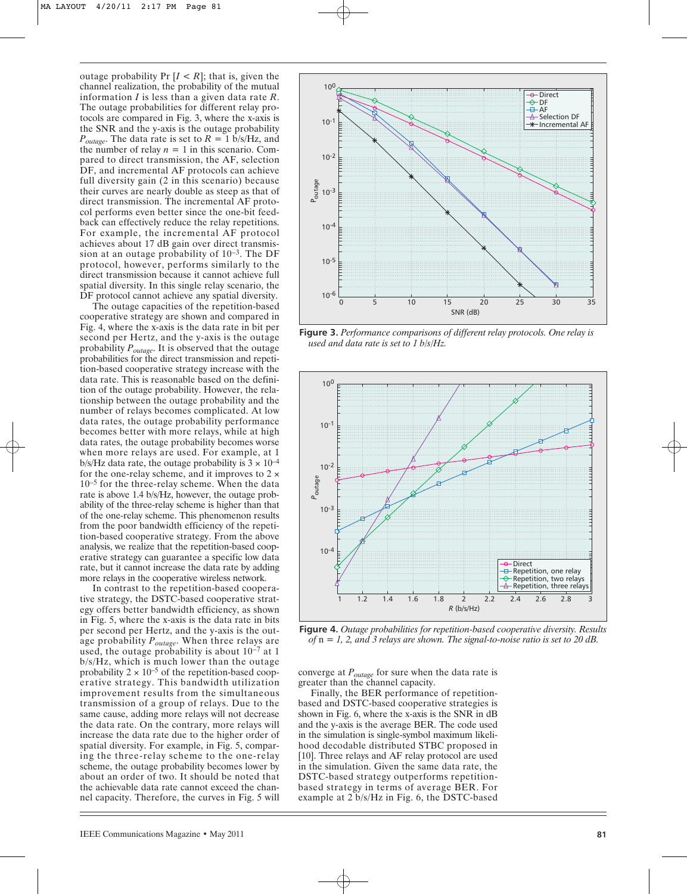outage probability Pr  $[I \leq R]$ ; that is, given the channel realization, the probability of the mutual information *I* is less than a given data rate *R*. The outage probabilities for different relay protocols are compared in Fig. 3, where the x-axis is the SNR and the y-axis is the outage probability  $P_{outage}$ . The data rate is set to  $R = 1$  b/s/Hz, and the number of relay  $n = 1$  in this scenario. Compared to direct transmission, the AF, selection DF, and incremental AF protocols can achieve full diversity gain (2 in this scenario) because their curves are nearly double as steep as that of direct transmission. The incremental AF protocol performs even better since the one-bit feedback can effectively reduce the relay repetitions. For example, the incremental AF protocol achieves about 17 dB gain over direct transmission at an outage probability of 10–3. The DF protocol, however, performs similarly to the direct transmission because it cannot achieve full spatial diversity. In this single relay scenario, the DF protocol cannot achieve any spatial diversity.

The outage capacities of the repetition-based cooperative strategy are shown and compared in Fig. 4, where the x-axis is the data rate in bit per second per Hertz, and the y-axis is the outage probability *Poutage*. It is observed that the outage probabilities for the direct transmission and repetition-based cooperative strategy increase with the data rate. This is reasonable based on the definition of the outage probability. However, the relationship between the outage probability and the number of relays becomes complicated. At low data rates, the outage probability performance becomes better with more relays, while at high data rates, the outage probability becomes worse when more relays are used. For example, at 1 b/s/Hz data rate, the outage probability is  $3 \times 10^{-4}$ for the one-relay scheme, and it improves to  $2 \times$ 10–5 for the three-relay scheme. When the data rate is above 1.4 b/s/Hz, however, the outage probability of the three-relay scheme is higher than that of the one-relay scheme. This phenomenon results from the poor bandwidth efficiency of the repetition-based cooperative strategy. From the above analysis, we realize that the repetition-based cooperative strategy can guarantee a specific low data rate, but it cannot increase the data rate by adding more relays in the cooperative wireless network.

In contrast to the repetition-based cooperative strategy, the DSTC-based cooperative strategy offers better bandwidth efficiency, as shown in Fig. 5, where the x-axis is the data rate in bits per second per Hertz, and the y-axis is the outage probability *Poutage*. When three relays are used, the outage probability is about  $10^{-7}$  at 1 b/s/Hz, which is much lower than the outage probability  $2 \times 10^{-5}$  of the repetition-based cooperative strategy. This bandwidth utilization improvement results from the simultaneous transmission of a group of relays. Due to the same cause, adding more relays will not decrease the data rate. On the contrary, more relays will increase the data rate due to the higher order of spatial diversity. For example, in Fig. 5, comparing the three-relay scheme to the one-relay scheme, the outage probability becomes lower by about an order of two. It should be noted that the achievable data rate cannot exceed the channel capacity. Therefore, the curves in Fig. 5 will



**Figure 3.** *Performance comparisons of different relay protocols. One relay is used and data rate is set to 1 b/s/Hz.*



**Figure 4.** *Outage probabilities for repetition-based cooperative diversity. Results of* n *= 1, 2, and 3 relays are shown. The signal-to-noise ratio is set to 20 dB.*

converge at *Poutage* for sure when the data rate is greater than the channel capacity.

Finally, the BER performance of repetitionbased and DSTC-based cooperative strategies is shown in Fig. 6, where the x-axis is the SNR in dB and the y-axis is the average BER. The code used in the simulation is single-symbol maximum likelihood decodable distributed STBC proposed in [10]. Three relays and AF relay protocol are used in the simulation. Given the same data rate, the DSTC-based strategy outperforms repetitionbased strategy in terms of average BER. For example at 2 b/s/Hz in Fig. 6, the DSTC-based